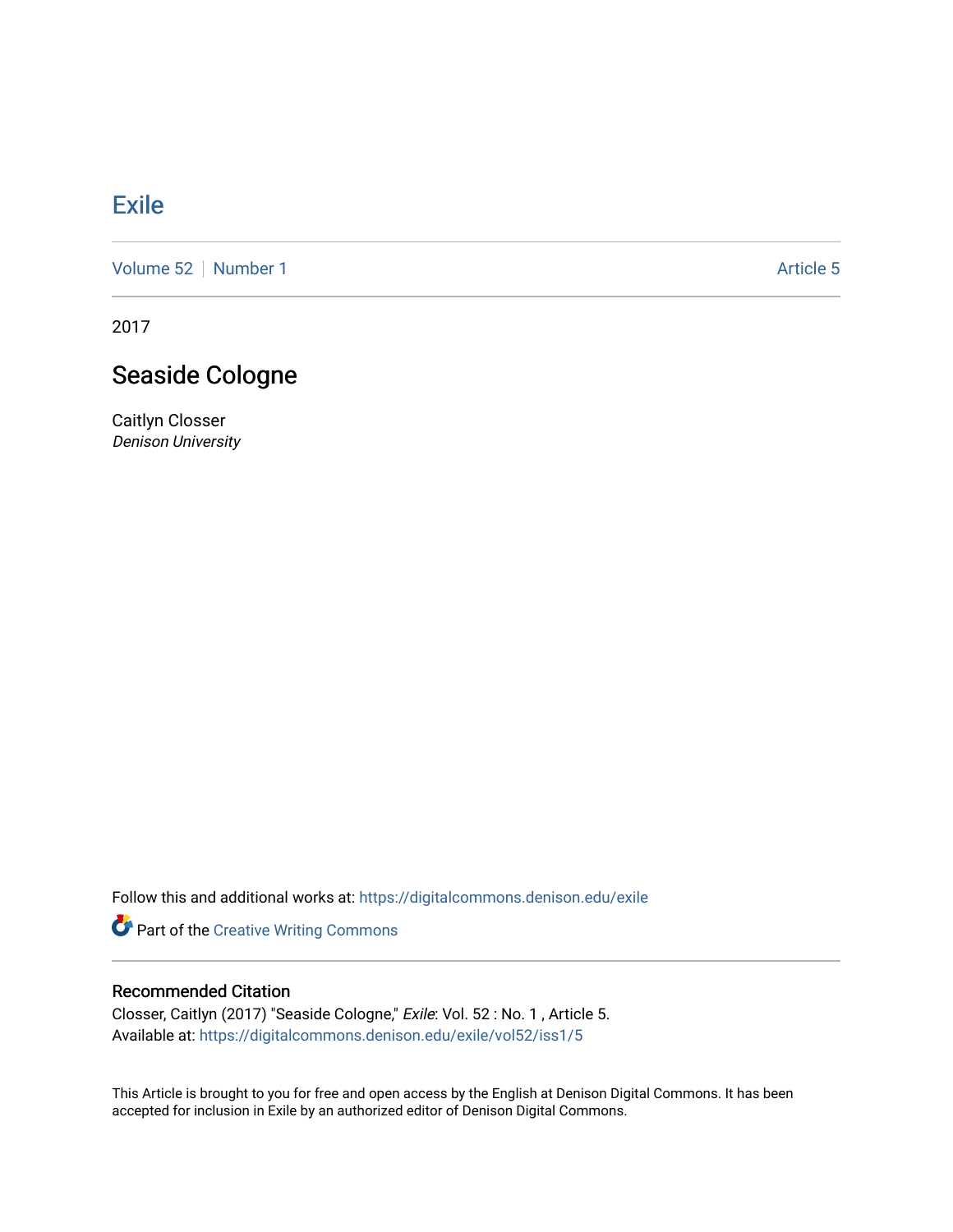## [Exile](https://digitalcommons.denison.edu/exile)

[Volume 52](https://digitalcommons.denison.edu/exile/vol52) [Number 1](https://digitalcommons.denison.edu/exile/vol52/iss1) Article 5

2017

## Seaside Cologne

Caitlyn Closser Denison University

Follow this and additional works at: [https://digitalcommons.denison.edu/exile](https://digitalcommons.denison.edu/exile?utm_source=digitalcommons.denison.edu%2Fexile%2Fvol52%2Fiss1%2F5&utm_medium=PDF&utm_campaign=PDFCoverPages) 

Part of the [Creative Writing Commons](http://network.bepress.com/hgg/discipline/574?utm_source=digitalcommons.denison.edu%2Fexile%2Fvol52%2Fiss1%2F5&utm_medium=PDF&utm_campaign=PDFCoverPages) 

## Recommended Citation

Closser, Caitlyn (2017) "Seaside Cologne," Exile: Vol. 52 : No. 1 , Article 5. Available at: [https://digitalcommons.denison.edu/exile/vol52/iss1/5](https://digitalcommons.denison.edu/exile/vol52/iss1/5?utm_source=digitalcommons.denison.edu%2Fexile%2Fvol52%2Fiss1%2F5&utm_medium=PDF&utm_campaign=PDFCoverPages) 

This Article is brought to you for free and open access by the English at Denison Digital Commons. It has been accepted for inclusion in Exile by an authorized editor of Denison Digital Commons.